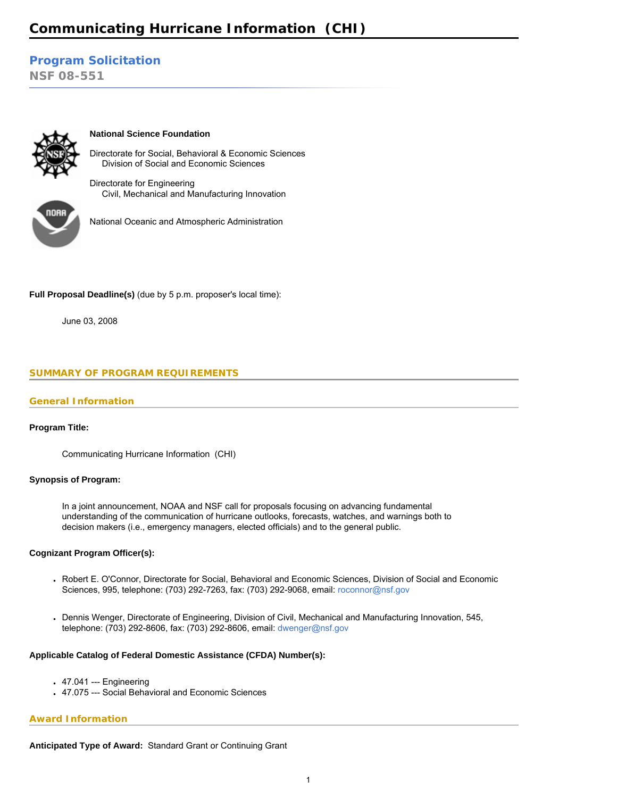# **[Program Solicitation](#page-2-0)**

**NSF 08-551**



#### **National Science Foundation**

Directorate for Social, Behavioral & Economic Sciences Division of Social and Economic Sciences

Directorate for Engineering Civil, Mechanical and Manufacturing Innovation



National Oceanic and Atmospheric Administration

**Full Proposal Deadline(s)** (due by 5 p.m. proposer's local time):

June 03, 2008

# <span id="page-0-0"></span>**SUMMARY OF PROGRAM REQUIREMENTS**

#### **General Information**

#### **Program Title:**

Communicating Hurricane Information (CHI)

## **Synopsis of Program:**

In a joint announcement, NOAA and NSF call for proposals focusing on advancing fundamental understanding of the communication of hurricane outlooks, forecasts, watches, and warnings both to decision makers (i.e., emergency managers, elected officials) and to the general public.

## **Cognizant Program Officer(s):**

- Robert E. O'Connor, Directorate for Social, Behavioral and Economic Sciences, Division of Social and Economic Sciences, 995, telephone: (703) 292-7263, fax: (703) 292-9068, email: [roconnor@nsf.gov](mailto:roconnor@nsf.gov)
- Dennis Wenger, Directorate of Engineering, Division of Civil, Mechanical and Manufacturing Innovation, 545, telephone: (703) 292-8606, fax: (703) 292-8606, email: [dwenger@nsf.gov](mailto:dwenger@nsf.gov)

## **Applicable Catalog of Federal Domestic Assistance (CFDA) Number(s):**

• 47.041 --- Engineering

• 47.075 --- Social Behavioral and Economic Sciences

## **Award Information**

**Anticipated Type of Award:** Standard Grant or Continuing Grant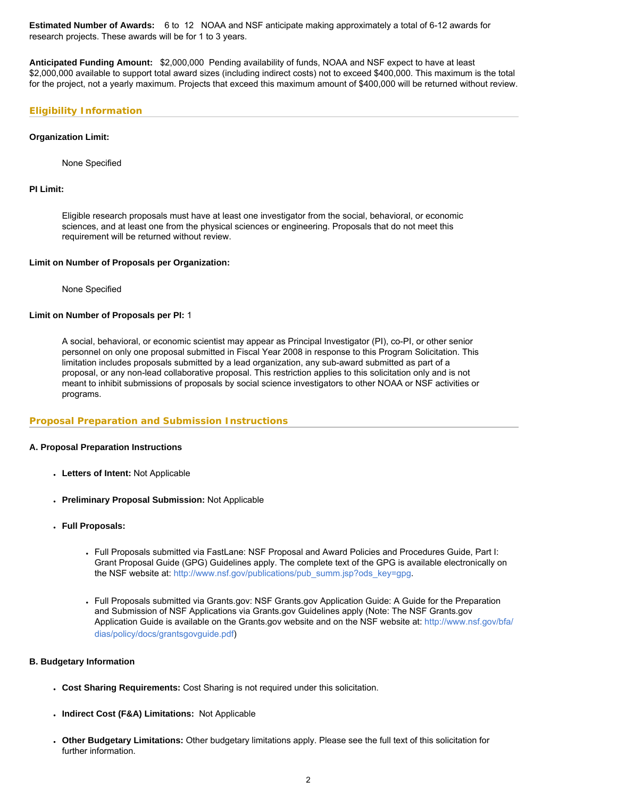**Estimated Number of Awards:** 6 to 12 NOAA and NSF anticipate making approximately a total of 6-12 awards for research projects. These awards will be for 1 to 3 years.

**Anticipated Funding Amount:** \$2,000,000 Pending availability of funds, NOAA and NSF expect to have at least \$2,000,000 available to support total award sizes (including indirect costs) not to exceed \$400,000. This maximum is the total for the project, not a yearly maximum. Projects that exceed this maximum amount of \$400,000 will be returned without review.

# **Eligibility Information**

#### **Organization Limit:**

None Specified

#### **PI Limit:**

Eligible research proposals must have at least one investigator from the social, behavioral, or economic sciences, and at least one from the physical sciences or engineering. Proposals that do not meet this requirement will be returned without review.

#### **Limit on Number of Proposals per Organization:**

None Specified

#### **Limit on Number of Proposals per PI:** 1

A social, behavioral, or economic scientist may appear as Principal Investigator (PI), co-PI, or other senior personnel on only one proposal submitted in Fiscal Year 2008 in response to this Program Solicitation. This limitation includes proposals submitted by a lead organization, any sub-award submitted as part of a proposal, or any non-lead collaborative proposal. This restriction applies to this solicitation only and is not meant to inhibit submissions of proposals by social science investigators to other NOAA or NSF activities or programs.

## **Proposal Preparation and Submission Instructions**

## **A. Proposal Preparation Instructions**

- **Letters of Intent:** Not Applicable
- **Preliminary Proposal Submission:** Not Applicable
- **Full Proposals:**
	- Full Proposals submitted via FastLane: NSF Proposal and Award Policies and Procedures Guide, Part I: Grant Proposal Guide (GPG) Guidelines apply. The complete text of the GPG is available electronically on the NSF website at: [http://www.nsf.gov/publications/pub\\_summ.jsp?ods\\_key=gpg](http://www.nsf.gov/publications/pub_summ.jsp?ods_key=gpg).
	- Full Proposals submitted via Grants.gov: NSF Grants.gov Application Guide: A Guide for the Preparation and Submission of NSF Applications via Grants.gov Guidelines apply (Note: The NSF Grants.gov Application Guide is available on the Grants.gov website and on the NSF website at: [http://www.nsf.gov/bfa/](http://www.nsf.gov/bfa/dias/policy/docs/grantsgovguide.pdf) [dias/policy/docs/grantsgovguide.pdf](http://www.nsf.gov/bfa/dias/policy/docs/grantsgovguide.pdf))

#### **B. Budgetary Information**

- **Cost Sharing Requirements:** Cost Sharing is not required under this solicitation.
- **Indirect Cost (F&A) Limitations:** Not Applicable
- **Other Budgetary Limitations:** Other budgetary limitations apply. Please see the full text of this solicitation for further information.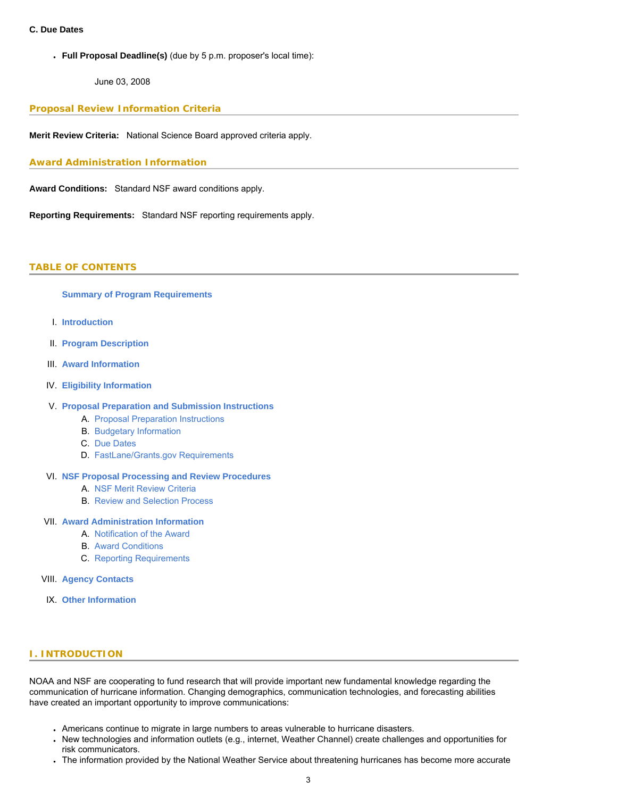#### **C. Due Dates**

● **Full Proposal Deadline(s)** (due by 5 p.m. proposer's local time):

June 03, 2008

## **Proposal Review Information Criteria**

**Merit Review Criteria:** National Science Board approved criteria apply.

#### **Award Administration Information**

**Award Conditions:** Standard NSF award conditions apply.

**Reporting Requirements:** Standard NSF reporting requirements apply.

## <span id="page-2-0"></span>**TABLE OF CONTENTS**

#### **[Summary of Program Requirements](#page-0-0)**

- I. **[Introduction](#page-2-1)**
- II. **[Program Description](#page-3-0)**
- III. **[Award Information](#page-3-1)**
- IV. **[Eligibility Information](#page-3-2)**
- V. **[Proposal Preparation and Submission Instructions](#page-4-0)**
	- A. [Proposal Preparation Instructions](#page-4-0)
	- B. [Budgetary Information](#page-6-0)
	- C. [Due Dates](#page-6-1)
	- D. [FastLane/Grants.gov Requirements](#page-6-2)

# VI. **[NSF Proposal Processing and Review Procedures](#page-7-0)**

- A. [NSF Merit Review Criteria](#page-7-1)
- B. [Review and Selection Process](#page-8-0)

## VII. **[Award Administration Information](#page-8-1)**

- A. [Notification of the Award](#page-8-2)
- B. [Award Conditions](#page-8-3)
- C. [Reporting Requirements](#page-9-0)
- VIII. **[Agency Contacts](#page-9-1)**
- <span id="page-2-1"></span>IX. **[Other Information](#page-9-2)**

## **I. INTRODUCTION**

NOAA and NSF are cooperating to fund research that will provide important new fundamental knowledge regarding the communication of hurricane information. Changing demographics, communication technologies, and forecasting abilities have created an important opportunity to improve communications:

- Americans continue to migrate in large numbers to areas vulnerable to hurricane disasters.
- New technologies and information outlets (e.g., internet, Weather Channel) create challenges and opportunities for risk communicators.
- The information provided by the National Weather Service about threatening hurricanes has become more accurate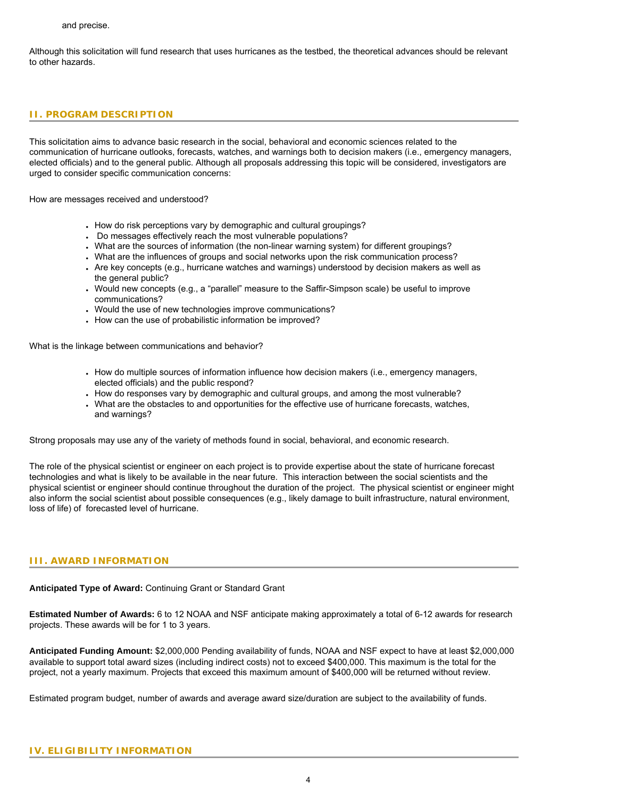Although this solicitation will fund research that uses hurricanes as the testbed, the theoretical advances should be relevant to other hazards.

## <span id="page-3-0"></span>**II. PROGRAM DESCRIPTION**

This solicitation aims to advance basic research in the social, behavioral and economic sciences related to the communication of hurricane outlooks, forecasts, watches, and warnings both to decision makers (i.e., emergency managers, elected officials) and to the general public. Although all proposals addressing this topic will be considered, investigators are urged to consider specific communication concerns:

How are messages received and understood?

- How do risk perceptions vary by demographic and cultural groupings?
- Do messages effectively reach the most vulnerable populations?
- What are the sources of information (the non-linear warning system) for different groupings?
- What are the influences of groups and social networks upon the risk communication process?
- Are key concepts (e.g., hurricane watches and warnings) understood by decision makers as well as the general public?
- Would new concepts (e.g., a "parallel" measure to the Saffir-Simpson scale) be useful to improve communications?
- Would the use of new technologies improve communications?
- How can the use of probabilistic information be improved?

What is the linkage between communications and behavior?

- How do multiple sources of information influence how decision makers (i.e., emergency managers, elected officials) and the public respond?
- How do responses vary by demographic and cultural groups, and among the most vulnerable?
- What are the obstacles to and opportunities for the effective use of hurricane forecasts, watches, and warnings?

Strong proposals may use any of the variety of methods found in social, behavioral, and economic research.

The role of the physical scientist or engineer on each project is to provide expertise about the state of hurricane forecast technologies and what is likely to be available in the near future. This interaction between the social scientists and the physical scientist or engineer should continue throughout the duration of the project. The physical scientist or engineer might also inform the social scientist about possible consequences (e.g., likely damage to built infrastructure, natural environment, loss of life) of forecasted level of hurricane.

## <span id="page-3-1"></span>**III. AWARD INFORMATION**

**Anticipated Type of Award:** Continuing Grant or Standard Grant

**Estimated Number of Awards:** 6 to 12 NOAA and NSF anticipate making approximately a total of 6-12 awards for research projects. These awards will be for 1 to 3 years.

**Anticipated Funding Amount:** \$2,000,000 Pending availability of funds, NOAA and NSF expect to have at least \$2,000,000 available to support total award sizes (including indirect costs) not to exceed \$400,000. This maximum is the total for the project, not a yearly maximum. Projects that exceed this maximum amount of \$400,000 will be returned without review.

<span id="page-3-2"></span>Estimated program budget, number of awards and average award size/duration are subject to the availability of funds.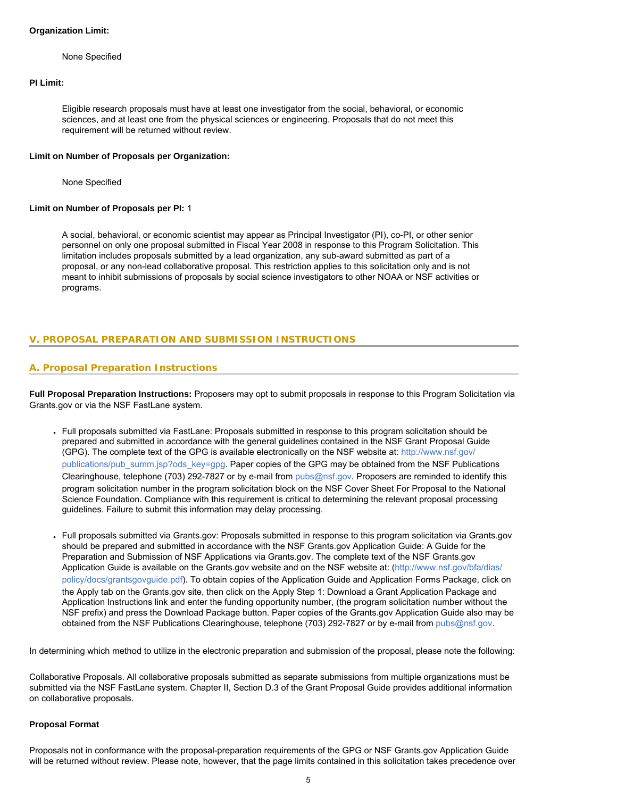## **Organization Limit:**

None Specified

## **PI Limit:**

Eligible research proposals must have at least one investigator from the social, behavioral, or economic sciences, and at least one from the physical sciences or engineering. Proposals that do not meet this requirement will be returned without review.

#### **Limit on Number of Proposals per Organization:**

None Specified

#### **Limit on Number of Proposals per PI:** 1

A social, behavioral, or economic scientist may appear as Principal Investigator (PI), co-PI, or other senior personnel on only one proposal submitted in Fiscal Year 2008 in response to this Program Solicitation. This limitation includes proposals submitted by a lead organization, any sub-award submitted as part of a proposal, or any non-lead collaborative proposal. This restriction applies to this solicitation only and is not meant to inhibit submissions of proposals by social science investigators to other NOAA or NSF activities or programs.

# <span id="page-4-0"></span>**V. PROPOSAL PREPARATION AND SUBMISSION INSTRUCTIONS**

# **A. Proposal Preparation Instructions**

**Full Proposal Preparation Instructions:** Proposers may opt to submit proposals in response to this Program Solicitation via Grants.gov or via the NSF FastLane system.

- Full proposals submitted via FastLane: Proposals submitted in response to this program solicitation should be prepared and submitted in accordance with the general guidelines contained in the NSF Grant Proposal Guide (GPG). The complete text of the GPG is available electronically on the NSF website at: [http://www.nsf.gov/](http://www.nsf.gov/publications/pub_summ.jsp?ods_key=gpg) [publications/pub\\_summ.jsp?ods\\_key=gpg.](http://www.nsf.gov/publications/pub_summ.jsp?ods_key=gpg) Paper copies of the GPG may be obtained from the NSF Publications Clearinghouse, telephone (703) 292-7827 or by e-mail from [pubs@nsf.gov.](mailto:pubs@nsf.gov) Proposers are reminded to identify this program solicitation number in the program solicitation block on the NSF Cover Sheet For Proposal to the National Science Foundation. Compliance with this requirement is critical to determining the relevant proposal processing guidelines. Failure to submit this information may delay processing.
- Full proposals submitted via Grants.gov: Proposals submitted in response to this program solicitation via Grants.gov should be prepared and submitted in accordance with the NSF Grants.gov Application Guide: A Guide for the Preparation and Submission of NSF Applications via Grants.gov. The complete text of the NSF Grants.gov Application Guide is available on the Grants.gov website and on the NSF website at: ([http://www.nsf.gov/bfa/dias/](http://www.nsf.gov/bfa/dias/policy/docs/grantsgovguide.pdf) [policy/docs/grantsgovguide.pdf](http://www.nsf.gov/bfa/dias/policy/docs/grantsgovguide.pdf)). To obtain copies of the Application Guide and Application Forms Package, click on the Apply tab on the Grants.gov site, then click on the Apply Step 1: Download a Grant Application Package and Application Instructions link and enter the funding opportunity number, (the program solicitation number without the NSF prefix) and press the Download Package button. Paper copies of the Grants.gov Application Guide also may be obtained from the NSF Publications Clearinghouse, telephone (703) 292-7827 or by e-mail from [pubs@nsf.gov.](mailto:pubs@nsf.gov)

In determining which method to utilize in the electronic preparation and submission of the proposal, please note the following:

Collaborative Proposals. All collaborative proposals submitted as separate submissions from multiple organizations must be submitted via the NSF FastLane system. Chapter II, Section D.3 of the Grant Proposal Guide provides additional information on collaborative proposals.

## **Proposal Format**

Proposals not in conformance with the proposal-preparation requirements of the GPG or NSF Grants.gov Application Guide will be returned without review. Please note, however, that the page limits contained in this solicitation takes precedence over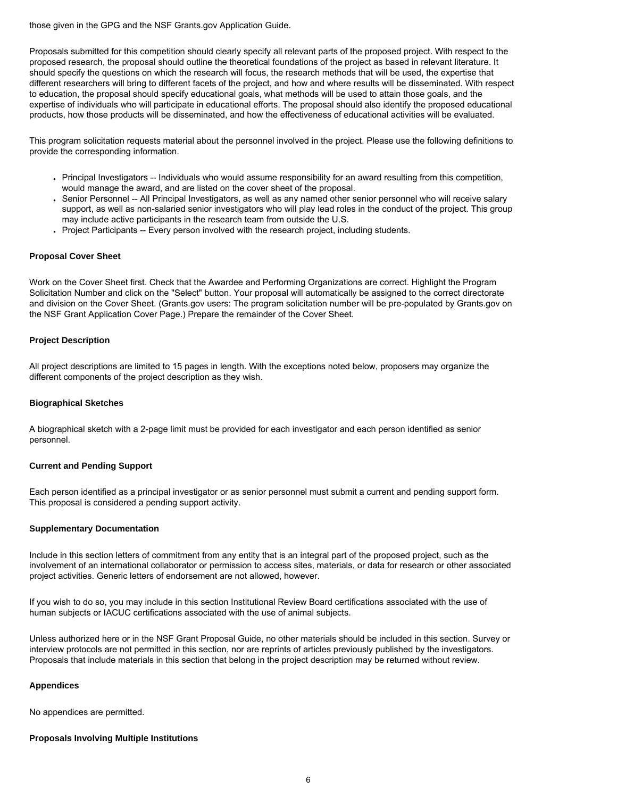those given in the GPG and the NSF Grants.gov Application Guide.

Proposals submitted for this competition should clearly specify all relevant parts of the proposed project. With respect to the proposed research, the proposal should outline the theoretical foundations of the project as based in relevant literature. It should specify the questions on which the research will focus, the research methods that will be used, the expertise that different researchers will bring to different facets of the project, and how and where results will be disseminated. With respect to education, the proposal should specify educational goals, what methods will be used to attain those goals, and the expertise of individuals who will participate in educational efforts. The proposal should also identify the proposed educational products, how those products will be disseminated, and how the effectiveness of educational activities will be evaluated.

This program solicitation requests material about the personnel involved in the project. Please use the following definitions to provide the corresponding information.

- Principal Investigators -- Individuals who would assume responsibility for an award resulting from this competition, would manage the award, and are listed on the cover sheet of the proposal.
- Senior Personnel -- All Principal Investigators, as well as any named other senior personnel who will receive salary support, as well as non-salaried senior investigators who will play lead roles in the conduct of the project. This group may include active participants in the research team from outside the U.S.
- Project Participants -- Every person involved with the research project, including students.

# **Proposal Cover Sheet**

Work on the Cover Sheet first. Check that the Awardee and Performing Organizations are correct. Highlight the Program Solicitation Number and click on the "Select" button. Your proposal will automatically be assigned to the correct directorate and division on the Cover Sheet. (Grants.gov users: The program solicitation number will be pre-populated by Grants.gov on the NSF Grant Application Cover Page.) Prepare the remainder of the Cover Sheet.

## **Project Description**

All project descriptions are limited to 15 pages in length. With the exceptions noted below, proposers may organize the different components of the project description as they wish.

## **Biographical Sketches**

A biographical sketch with a 2-page limit must be provided for each investigator and each person identified as senior personnel.

## **Current and Pending Support**

Each person identified as a principal investigator or as senior personnel must submit a current and pending support form. This proposal is considered a pending support activity.

## **Supplementary Documentation**

Include in this section letters of commitment from any entity that is an integral part of the proposed project, such as the involvement of an international collaborator or permission to access sites, materials, or data for research or other associated project activities. Generic letters of endorsement are not allowed, however.

If you wish to do so, you may include in this section Institutional Review Board certifications associated with the use of human subjects or IACUC certifications associated with the use of animal subjects.

Unless authorized here or in the NSF Grant Proposal Guide, no other materials should be included in this section. Survey or interview protocols are not permitted in this section, nor are reprints of articles previously published by the investigators. Proposals that include materials in this section that belong in the project description may be returned without review.

## **Appendices**

No appendices are permitted.

## **Proposals Involving Multiple Institutions**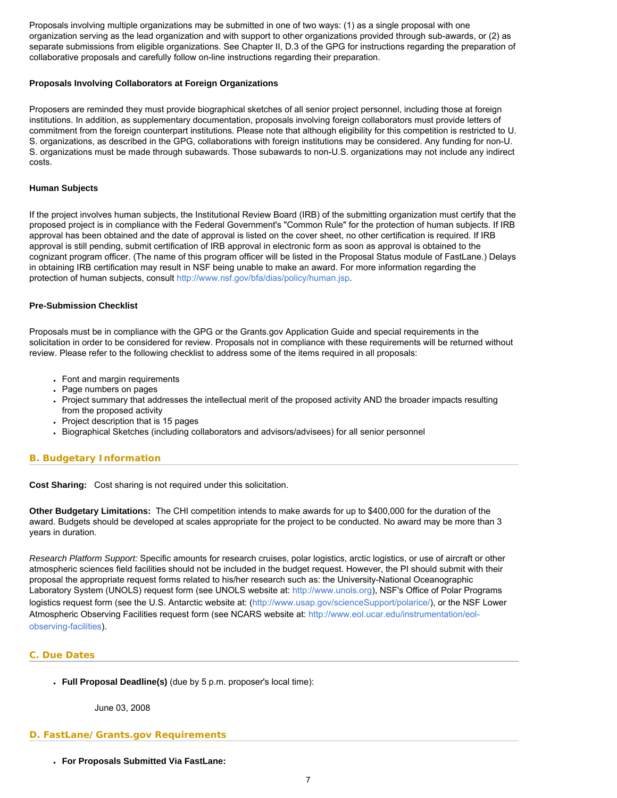Proposals involving multiple organizations may be submitted in one of two ways: (1) as a single proposal with one organization serving as the lead organization and with support to other organizations provided through sub-awards, or (2) as separate submissions from eligible organizations. See Chapter II, D.3 of the GPG for instructions regarding the preparation of collaborative proposals and carefully follow on-line instructions regarding their preparation.

## **Proposals Involving Collaborators at Foreign Organizations**

Proposers are reminded they must provide biographical sketches of all senior project personnel, including those at foreign institutions. In addition, as supplementary documentation, proposals involving foreign collaborators must provide letters of commitment from the foreign counterpart institutions. Please note that although eligibility for this competition is restricted to U. S. organizations, as described in the GPG, collaborations with foreign institutions may be considered. Any funding for non-U. S. organizations must be made through subawards. Those subawards to non-U.S. organizations may not include any indirect costs.

## **Human Subjects**

If the project involves human subjects, the Institutional Review Board (IRB) of the submitting organization must certify that the proposed project is in compliance with the Federal Government's "Common Rule" for the protection of human subjects. If IRB approval has been obtained and the date of approval is listed on the cover sheet, no other certification is required. If IRB approval is still pending, submit certification of IRB approval in electronic form as soon as approval is obtained to the cognizant program officer. (The name of this program officer will be listed in the Proposal Status module of FastLane.) Delays in obtaining IRB certification may result in NSF being unable to make an award. For more information regarding the protection of human subjects, consult<http://www.nsf.gov/bfa/dias/policy/human.jsp>.

## **Pre-Submission Checklist**

Proposals must be in compliance with the GPG or the Grants.gov Application Guide and special requirements in the solicitation in order to be considered for review. Proposals not in compliance with these requirements will be returned without review. Please refer to the following checklist to address some of the items required in all proposals:

- Font and margin requirements
- Page numbers on pages
- Project summary that addresses the intellectual merit of the proposed activity AND the broader impacts resulting from the proposed activity
- Project description that is 15 pages
- Biographical Sketches (including collaborators and advisors/advisees) for all senior personnel

# <span id="page-6-0"></span>**B. Budgetary Information**

**Cost Sharing:** Cost sharing is not required under this solicitation.

**Other Budgetary Limitations:** The CHI competition intends to make awards for up to \$400,000 for the duration of the award. Budgets should be developed at scales appropriate for the project to be conducted. No award may be more than 3 years in duration.

*Research Platform Support:* Specific amounts for research cruises, polar logistics, arctic logistics, or use of aircraft or other atmospheric sciences field facilities should not be included in the budget request. However, the PI should submit with their proposal the appropriate request forms related to his/her research such as: the University-National Oceanographic Laboratory System (UNOLS) request form (see UNOLS website at: [http://www.unols.or](http://www.unols.org/)[g\), N](http://www.unols.org)SF's Office of Polar Programs logistics request form (see the U.S. Antarctic website at: ([http://www.usap.gov/scienceSupport/polarice/\)](http://www.usap.gov/scienceSupport/polarice/), or the NSF Lower Atmospheric Observing Facilities request form (see NCARS website at: [http://www.eol.ucar.edu/instrumentation/eol](http://www.eol.ucar.edu/instrumentation/eol-observing-facilities)[observing-facilities\)](http://www.eol.ucar.edu/instrumentation/eol-observing-facilities).

# <span id="page-6-1"></span>**C. Due Dates**

● **Full Proposal Deadline(s)** (due by 5 p.m. proposer's local time):

June 03, 2008

# <span id="page-6-2"></span>**D. FastLane/Grants.gov Requirements**

● **For Proposals Submitted Via FastLane:**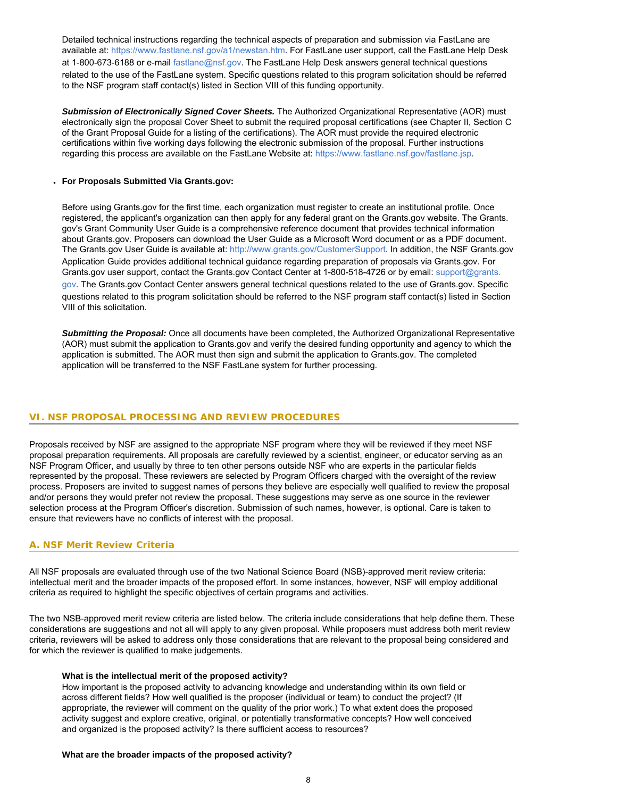Detailed technical instructions regarding the technical aspects of preparation and submission via FastLane are available at: [https://www.fastlane.nsf.gov/a1/newstan.htm.](https://www.fastlane.nsf.gov/a1/newstan.htm) For FastLane user support, call the FastLane Help Desk at 1-800-673-6188 or e-mail [fastlane@nsf.gov](mailto:fastlane@nsf.gov). The FastLane Help Desk answers general technical questions related to the use of the FastLane system. Specific questions related to this program solicitation should be referred to the NSF program staff contact(s) listed in Section VIII of this funding opportunity.

*Submission of Electronically Signed Cover Sheets.* The Authorized Organizational Representative (AOR) must electronically sign the proposal Cover Sheet to submit the required proposal certifications (see Chapter II, Section C of the Grant Proposal Guide for a listing of the certifications). The AOR must provide the required electronic certifications within five working days following the electronic submission of the proposal. Further instructions regarding this process are available on the FastLane Website at:<https://www.fastlane.nsf.gov/fastlane.jsp>.

#### **For Proposals Submitted Via Grants.gov:**

Before using Grants.gov for the first time, each organization must register to create an institutional profile. Once registered, the applicant's organization can then apply for any federal grant on the Grants.gov website. The Grants. gov's Grant Community User Guide is a comprehensive reference document that provides technical information about Grants.gov. Proposers can download the User Guide as a Microsoft Word document or as a PDF document. The Grants.gov User Guide is available at: [http://www.grants.gov/CustomerSupport.](http://www.grants.gov/CustomerSupport) In addition, the NSF Grants.gov Application Guide provides additional technical guidance regarding preparation of proposals via Grants.gov. For Grants.gov user support, contact the Grants.gov Contact Center at 1-800-518-4726 or by email: [support@grants.](mailto:support@grants.gov)

[gov.](mailto:support@grants.gov) The Grants.gov Contact Center answers general technical questions related to the use of Grants.gov. Specific questions related to this program solicitation should be referred to the NSF program staff contact(s) listed in Section VIII of this solicitation.

*Submitting the Proposal:* Once all documents have been completed, the Authorized Organizational Representative (AOR) must submit the application to Grants.gov and verify the desired funding opportunity and agency to which the application is submitted. The AOR must then sign and submit the application to Grants.gov. The completed application will be transferred to the NSF FastLane system for further processing.

## <span id="page-7-1"></span><span id="page-7-0"></span>**VI. NSF PROPOSAL PROCESSING AND REVIEW PROCEDURES**

Proposals received by NSF are assigned to the appropriate NSF program where they will be reviewed if they meet NSF proposal preparation requirements. All proposals are carefully reviewed by a scientist, engineer, or educator serving as an NSF Program Officer, and usually by three to ten other persons outside NSF who are experts in the particular fields represented by the proposal. These reviewers are selected by Program Officers charged with the oversight of the review process. Proposers are invited to suggest names of persons they believe are especially well qualified to review the proposal and/or persons they would prefer not review the proposal. These suggestions may serve as one source in the reviewer selection process at the Program Officer's discretion. Submission of such names, however, is optional. Care is taken to ensure that reviewers have no conflicts of interest with the proposal.

## **A. NSF Merit Review Criteria**

All NSF proposals are evaluated through use of the two National Science Board (NSB)-approved merit review criteria: intellectual merit and the broader impacts of the proposed effort. In some instances, however, NSF will employ additional criteria as required to highlight the specific objectives of certain programs and activities.

The two NSB-approved merit review criteria are listed below. The criteria include considerations that help define them. These considerations are suggestions and not all will apply to any given proposal. While proposers must address both merit review criteria, reviewers will be asked to address only those considerations that are relevant to the proposal being considered and for which the reviewer is qualified to make judgements.

#### **What is the intellectual merit of the proposed activity?**

How important is the proposed activity to advancing knowledge and understanding within its own field or across different fields? How well qualified is the proposer (individual or team) to conduct the project? (If appropriate, the reviewer will comment on the quality of the prior work.) To what extent does the proposed activity suggest and explore creative, original, or potentially transformative concepts? How well conceived and organized is the proposed activity? Is there sufficient access to resources?

#### **What are the broader impacts of the proposed activity?**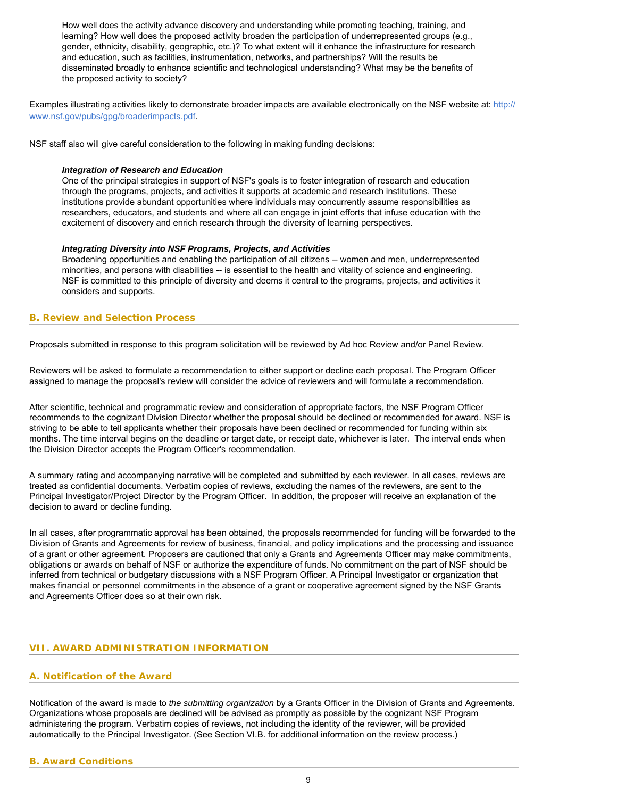How well does the activity advance discovery and understanding while promoting teaching, training, and learning? How well does the proposed activity broaden the participation of underrepresented groups (e.g., gender, ethnicity, disability, geographic, etc.)? To what extent will it enhance the infrastructure for research and education, such as facilities, instrumentation, networks, and partnerships? Will the results be disseminated broadly to enhance scientific and technological understanding? What may be the benefits of the proposed activity to society?

Examples illustrating activities likely to demonstrate broader impacts are available electronically on the NSF website at: [http://](http://www.nsf.gov/pubs/gpg/broaderimpacts.pdf) [www.nsf.gov/pubs/gpg/broaderimpacts.pdf.](http://www.nsf.gov/pubs/gpg/broaderimpacts.pdf)

NSF staff also will give careful consideration to the following in making funding decisions:

#### *Integration of Research and Education*

One of the principal strategies in support of NSF's goals is to foster integration of research and education through the programs, projects, and activities it supports at academic and research institutions. These institutions provide abundant opportunities where individuals may concurrently assume responsibilities as researchers, educators, and students and where all can engage in joint efforts that infuse education with the excitement of discovery and enrich research through the diversity of learning perspectives.

#### *Integrating Diversity into NSF Programs, Projects, and Activities*

Broadening opportunities and enabling the participation of all citizens -- women and men, underrepresented minorities, and persons with disabilities -- is essential to the health and vitality of science and engineering. NSF is committed to this principle of diversity and deems it central to the programs, projects, and activities it considers and supports.

## <span id="page-8-0"></span>**B. Review and Selection Process**

Proposals submitted in response to this program solicitation will be reviewed by Ad hoc Review and/or Panel Review.

Reviewers will be asked to formulate a recommendation to either support or decline each proposal. The Program Officer assigned to manage the proposal's review will consider the advice of reviewers and will formulate a recommendation.

After scientific, technical and programmatic review and consideration of appropriate factors, the NSF Program Officer recommends to the cognizant Division Director whether the proposal should be declined or recommended for award. NSF is striving to be able to tell applicants whether their proposals have been declined or recommended for funding within six months. The time interval begins on the deadline or target date, or receipt date, whichever is later. The interval ends when the Division Director accepts the Program Officer's recommendation.

A summary rating and accompanying narrative will be completed and submitted by each reviewer. In all cases, reviews are treated as confidential documents. Verbatim copies of reviews, excluding the names of the reviewers, are sent to the Principal Investigator/Project Director by the Program Officer. In addition, the proposer will receive an explanation of the decision to award or decline funding.

In all cases, after programmatic approval has been obtained, the proposals recommended for funding will be forwarded to the Division of Grants and Agreements for review of business, financial, and policy implications and the processing and issuance of a grant or other agreement. Proposers are cautioned that only a Grants and Agreements Officer may make commitments, obligations or awards on behalf of NSF or authorize the expenditure of funds. No commitment on the part of NSF should be inferred from technical or budgetary discussions with a NSF Program Officer. A Principal Investigator or organization that makes financial or personnel commitments in the absence of a grant or cooperative agreement signed by the NSF Grants and Agreements Officer does so at their own risk.

# <span id="page-8-2"></span><span id="page-8-1"></span>**VII. AWARD ADMINISTRATION INFORMATION**

# **A. Notification of the Award**

<span id="page-8-3"></span>Notification of the award is made to *the submitting organization* by a Grants Officer in the Division of Grants and Agreements. Organizations whose proposals are declined will be advised as promptly as possible by the cognizant NSF Program administering the program. Verbatim copies of reviews, not including the identity of the reviewer, will be provided automatically to the Principal Investigator. (See Section VI.B. for additional information on the review process.)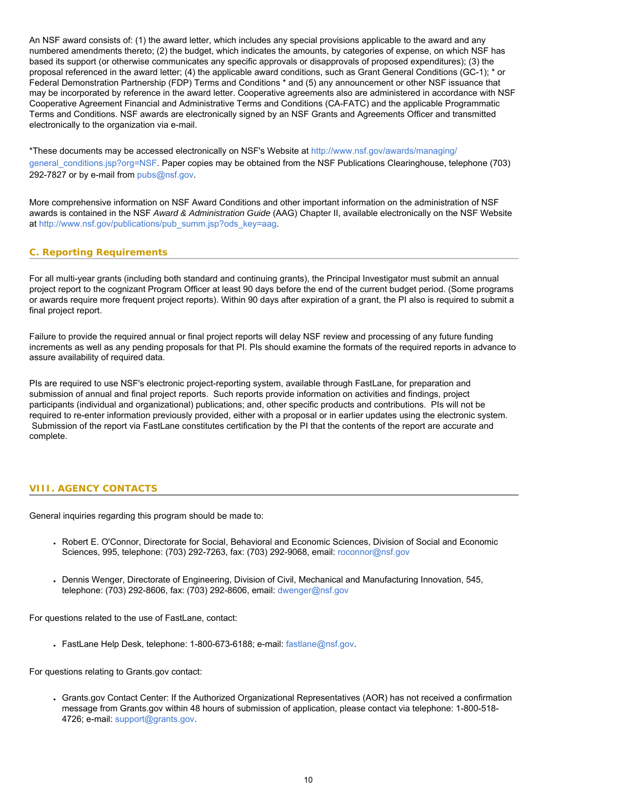An NSF award consists of: (1) the award letter, which includes any special provisions applicable to the award and any numbered amendments thereto; (2) the budget, which indicates the amounts, by categories of expense, on which NSF has based its support (or otherwise communicates any specific approvals or disapprovals of proposed expenditures); (3) the proposal referenced in the award letter; (4) the applicable award conditions, such as Grant General Conditions (GC-1); \* or Federal Demonstration Partnership (FDP) Terms and Conditions \* and (5) any announcement or other NSF issuance that may be incorporated by reference in the award letter. Cooperative agreements also are administered in accordance with NSF Cooperative Agreement Financial and Administrative Terms and Conditions (CA-FATC) and the applicable Programmatic Terms and Conditions. NSF awards are electronically signed by an NSF Grants and Agreements Officer and transmitted electronically to the organization via e-mail.

\*These documents may be accessed electronically on NSF's Website at [http://www.nsf.gov/awards/managing/](http://www.nsf.gov/awards/managing/general_conditions.jsp?org=NSF) [general\\_conditions.jsp?org=NSF.](http://www.nsf.gov/awards/managing/general_conditions.jsp?org=NSF) Paper copies may be obtained from the NSF Publications Clearinghouse, telephone (703) 292-7827 or by e-mail from [pubs@nsf.gov](mailto:pubs@nsf.gov).

More comprehensive information on NSF Award Conditions and other important information on the administration of NSF awards is contained in the NSF *Award & Administration Guide* (AAG) Chapter II, available electronically on the NSF Website at [http://www.nsf.gov/publications/pub\\_summ.jsp?ods\\_key=aag.](http://www.nsf.gov/publications/pub_summ.jsp?ods_key=aag)

# <span id="page-9-0"></span>**C. Reporting Requirements**

For all multi-year grants (including both standard and continuing grants), the Principal Investigator must submit an annual project report to the cognizant Program Officer at least 90 days before the end of the current budget period. (Some programs or awards require more frequent project reports). Within 90 days after expiration of a grant, the PI also is required to submit a final project report.

Failure to provide the required annual or final project reports will delay NSF review and processing of any future funding increments as well as any pending proposals for that PI. PIs should examine the formats of the required reports in advance to assure availability of required data.

PIs are required to use NSF's electronic project-reporting system, available through FastLane, for preparation and submission of annual and final project reports. Such reports provide information on activities and findings, project participants (individual and organizational) publications; and, other specific products and contributions. PIs will not be required to re-enter information previously provided, either with a proposal or in earlier updates using the electronic system. Submission of the report via FastLane constitutes certification by the PI that the contents of the report are accurate and complete.

# <span id="page-9-1"></span>**VIII. AGENCY CONTACTS**

General inquiries regarding this program should be made to:

- Robert E. O'Connor, Directorate for Social, Behavioral and Economic Sciences, Division of Social and Economic Sciences, 995, telephone: (703) 292-7263, fax: (703) 292-9068, email: [roconnor@nsf.gov](mailto:roconnor@nsf.gov)
- Dennis Wenger, Directorate of Engineering, Division of Civil, Mechanical and Manufacturing Innovation, 545, telephone: (703) 292-8606, fax: (703) 292-8606, email: [dwenger@nsf.gov](mailto:dwenger@nsf.gov)

For questions related to the use of FastLane, contact:

. FastLane Help Desk, telephone: 1-800-673-6188; e-mail: [fastlane@nsf.gov](mailto:fastlane@nsf.gov).

For questions relating to Grants.gov contact:

<span id="page-9-2"></span>● Grants.gov Contact Center: If the Authorized Organizational Representatives (AOR) has not received a confirmation message from Grants.gov within 48 hours of submission of application, please contact via telephone: 1-800-518- 4726; e-mail: [support@grants.gov.](mailto:support@grants.gov)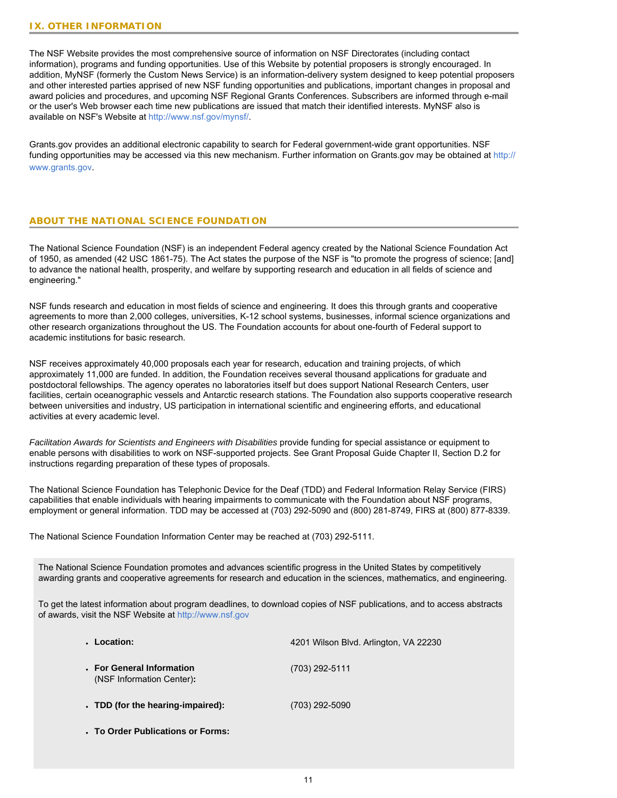The NSF Website provides the most comprehensive source of information on NSF Directorates (including contact information), programs and funding opportunities. Use of this Website by potential proposers is strongly encouraged. In addition, MyNSF (formerly the Custom News Service) is an information-delivery system designed to keep potential proposers and other interested parties apprised of new NSF funding opportunities and publications, important changes in proposal and award policies and procedures, and upcoming NSF Regional Grants Conferences. Subscribers are informed through e-mail or the user's Web browser each time new publications are issued that match their identified interests. MyNSF also is available on NSF's Website at [http://www.nsf.gov/mynsf/.](http://www.nsf.gov/mynsf/)

Grants.gov provides an additional electronic capability to search for Federal government-wide grant opportunities. NSF funding opportunities may be accessed via this new mechanism. Further information on Grants.gov may be obtained at [http://](http://www.grants.gov/) [www.grants.gov](http://www.grants.gov/).

# **ABOUT THE NATIONAL SCIENCE FOUNDATION**

The National Science Foundation (NSF) is an independent Federal agency created by the National Science Foundation Act of 1950, as amended (42 USC 1861-75). The Act states the purpose of the NSF is "to promote the progress of science; [and] to advance the national health, prosperity, and welfare by supporting research and education in all fields of science and engineering."

NSF funds research and education in most fields of science and engineering. It does this through grants and cooperative agreements to more than 2,000 colleges, universities, K-12 school systems, businesses, informal science organizations and other research organizations throughout the US. The Foundation accounts for about one-fourth of Federal support to academic institutions for basic research.

NSF receives approximately 40,000 proposals each year for research, education and training projects, of which approximately 11,000 are funded. In addition, the Foundation receives several thousand applications for graduate and postdoctoral fellowships. The agency operates no laboratories itself but does support National Research Centers, user facilities, certain oceanographic vessels and Antarctic research stations. The Foundation also supports cooperative research between universities and industry, US participation in international scientific and engineering efforts, and educational activities at every academic level.

*Facilitation Awards for Scientists and Engineers with Disabilities* provide funding for special assistance or equipment to enable persons with disabilities to work on NSF-supported projects. See Grant Proposal Guide Chapter II, Section D.2 for instructions regarding preparation of these types of proposals.

The National Science Foundation has Telephonic Device for the Deaf (TDD) and Federal Information Relay Service (FIRS) capabilities that enable individuals with hearing impairments to communicate with the Foundation about NSF programs, employment or general information. TDD may be accessed at (703) 292-5090 and (800) 281-8749, FIRS at (800) 877-8339.

The National Science Foundation Information Center may be reached at (703) 292-5111.

The National Science Foundation promotes and advances scientific progress in the United States by competitively awarding grants and cooperative agreements for research and education in the sciences, mathematics, and engineering.

To get the latest information about program deadlines, to download copies of NSF publications, and to access abstracts of awards, visit the NSF Website at [http://www.nsf.gov](http://www.nsf.gov/)

| Location:                                              | 4201 Wilson Blvd. Arlington, VA 22230 |
|--------------------------------------------------------|---------------------------------------|
| . For General Information<br>(NSF Information Center): | (703) 292-5111                        |
| . TDD (for the hearing-impaired):                      | $(703)$ 292-5090                      |
|                                                        |                                       |

● **To Order Publications or Forms:**